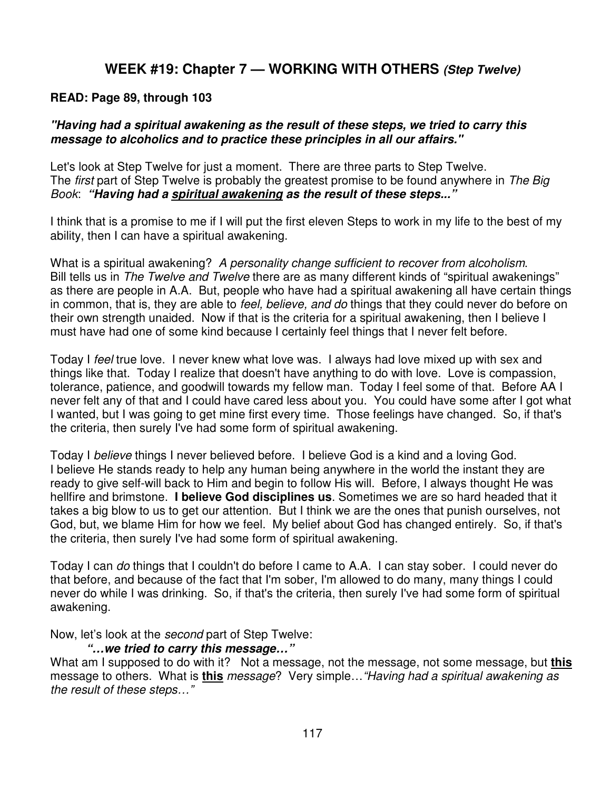## **WEEK #19: Chapter 7 — WORKING WITH OTHERS (Step Twelve)**

#### **READ: Page 89, through 103**

### **"Having had a spiritual awakening as the result of these steps, we tried to carry this message to alcoholics and to practice these principles in all our affairs."**

Let's look at Step Twelve for just a moment. There are three parts to Step Twelve. The first part of Step Twelve is probably the greatest promise to be found anywhere in The Big Book: **"Having had a spiritual awakening as the result of these steps..."** 

I think that is a promise to me if I will put the first eleven Steps to work in my life to the best of my ability, then I can have a spiritual awakening.

What is a spiritual awakening? A personality change sufficient to recover from alcoholism. Bill tells us in The Twelve and Twelve there are as many different kinds of "spiritual awakenings" as there are people in A.A. But, people who have had a spiritual awakening all have certain things in common, that is, they are able to feel, believe, and do things that they could never do before on their own strength unaided. Now if that is the criteria for a spiritual awakening, then I believe I must have had one of some kind because I certainly feel things that I never felt before.

Today I feel true love. I never knew what love was. I always had love mixed up with sex and things like that. Today I realize that doesn't have anything to do with love. Love is compassion, tolerance, patience, and goodwill towards my fellow man. Today I feel some of that. Before AA I never felt any of that and I could have cared less about you. You could have some after I got what I wanted, but I was going to get mine first every time. Those feelings have changed. So, if that's the criteria, then surely I've had some form of spiritual awakening.

Today I believe things I never believed before. I believe God is a kind and a loving God. I believe He stands ready to help any human being anywhere in the world the instant they are ready to give self-will back to Him and begin to follow His will. Before, I always thought He was hellfire and brimstone. **I believe God disciplines us**. Sometimes we are so hard headed that it takes a big blow to us to get our attention. But I think we are the ones that punish ourselves, not God, but, we blame Him for how we feel. My belief about God has changed entirely. So, if that's the criteria, then surely I've had some form of spiritual awakening.

Today I can *do* things that I couldn't do before I came to A.A. I can stay sober. I could never do that before, and because of the fact that I'm sober, I'm allowed to do many, many things I could never do while I was drinking. So, if that's the criteria, then surely I've had some form of spiritual awakening.

Now, let's look at the second part of Step Twelve:

### **"…we tried to carry this message…"**

What am I supposed to do with it? Not a message, not the message, not some message, but **this** message to others. What is **this** message? Very simple…"Having had a spiritual awakening as the result of these steps…"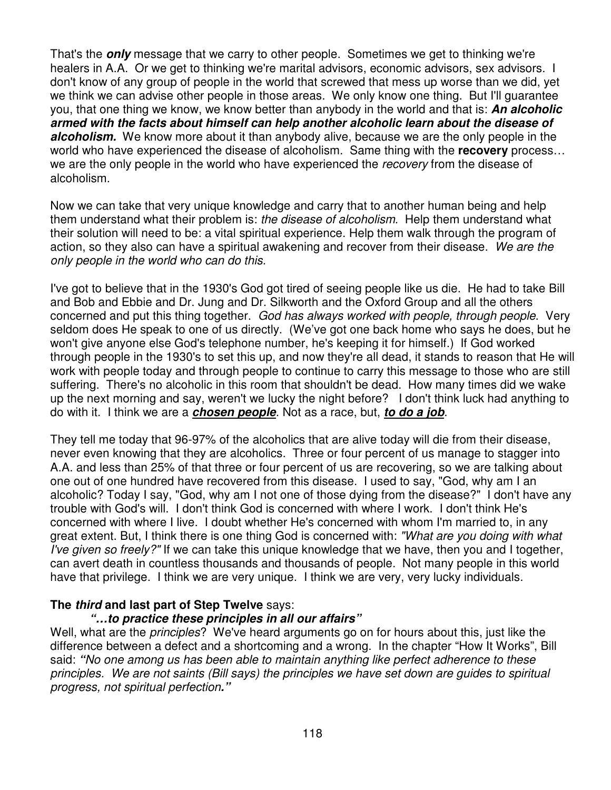That's the **only** message that we carry to other people. Sometimes we get to thinking we're healers in A.A. Or we get to thinking we're marital advisors, economic advisors, sex advisors. I don't know of any group of people in the world that screwed that mess up worse than we did, yet we think we can advise other people in those areas. We only know one thing. But I'll guarantee you, that one thing we know, we know better than anybody in the world and that is: **An alcoholic armed with the facts about himself can help another alcoholic learn about the disease of alcoholism.** We know more about it than anybody alive, because we are the only people in the world who have experienced the disease of alcoholism. Same thing with the **recovery** process… we are the only people in the world who have experienced the recovery from the disease of alcoholism.

Now we can take that very unique knowledge and carry that to another human being and help them understand what their problem is: the disease of alcoholism. Help them understand what their solution will need to be: a vital spiritual experience. Help them walk through the program of action, so they also can have a spiritual awakening and recover from their disease. We are the only people in the world who can do this.

I've got to believe that in the 1930's God got tired of seeing people like us die. He had to take Bill and Bob and Ebbie and Dr. Jung and Dr. Silkworth and the Oxford Group and all the others concerned and put this thing together. God has always worked with people, through people. Very seldom does He speak to one of us directly. (We've got one back home who says he does, but he won't give anyone else God's telephone number, he's keeping it for himself.) If God worked through people in the 1930's to set this up, and now they're all dead, it stands to reason that He will work with people today and through people to continue to carry this message to those who are still suffering. There's no alcoholic in this room that shouldn't be dead. How many times did we wake up the next morning and say, weren't we lucky the night before? I don't think luck had anything to do with it. I think we are a **chosen people**. Not as a race, but, **to do a job**.

They tell me today that 96-97% of the alcoholics that are alive today will die from their disease, never even knowing that they are alcoholics. Three or four percent of us manage to stagger into A.A. and less than 25% of that three or four percent of us are recovering, so we are talking about one out of one hundred have recovered from this disease. I used to say, "God, why am I an alcoholic? Today I say, "God, why am I not one of those dying from the disease?" I don't have any trouble with God's will. I don't think God is concerned with where I work. I don't think He's concerned with where I live. I doubt whether He's concerned with whom I'm married to, in any great extent. But, I think there is one thing God is concerned with: "What are you doing with what I've given so freely?" If we can take this unique knowledge that we have, then you and I together, can avert death in countless thousands and thousands of people. Not many people in this world have that privilege. I think we are very unique. I think we are very, very lucky individuals.

### **The third and last part of Step Twelve** says:

### **"…to practice these principles in all our affairs"**

Well, what are the *principles*? We've heard arguments go on for hours about this, just like the difference between a defect and a shortcoming and a wrong. In the chapter "How It Works", Bill said: **"**No one among us has been able to maintain anything like perfect adherence to these principles. We are not saints (Bill says) the principles we have set down are guides to spiritual progress, not spiritual perfection**."**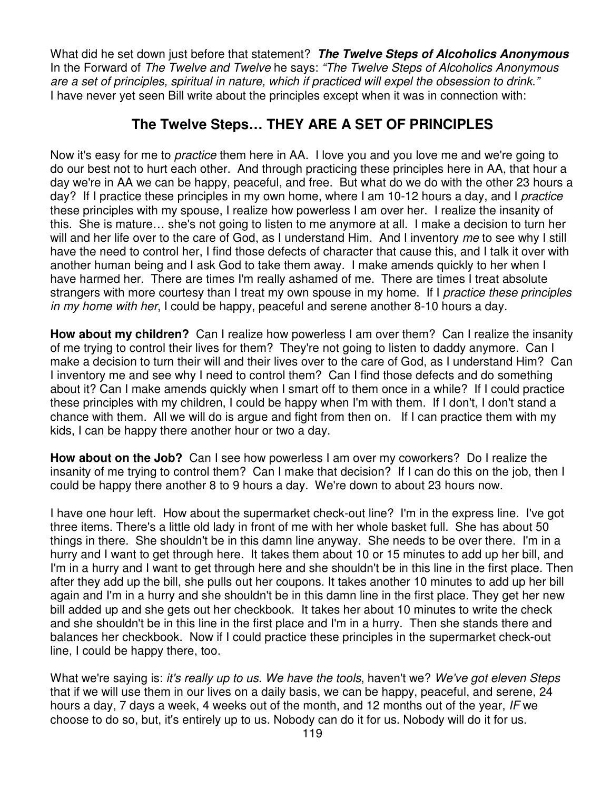What did he set down just before that statement? **The Twelve Steps of Alcoholics Anonymous** In the Forward of The Twelve and Twelve he says: "The Twelve Steps of Alcoholics Anonymous are a set of principles, spiritual in nature, which if practiced will expel the obsession to drink." I have never yet seen Bill write about the principles except when it was in connection with:

## **The Twelve Steps… THEY ARE A SET OF PRINCIPLES**

Now it's easy for me to practice them here in AA. I love you and you love me and we're going to do our best not to hurt each other. And through practicing these principles here in AA, that hour a day we're in AA we can be happy, peaceful, and free. But what do we do with the other 23 hours a day? If I practice these principles in my own home, where I am 10-12 hours a day, and I *practice* these principles with my spouse, I realize how powerless I am over her. I realize the insanity of this. She is mature… she's not going to listen to me anymore at all. I make a decision to turn her will and her life over to the care of God, as I understand Him. And I inventory me to see why I still have the need to control her, I find those defects of character that cause this, and I talk it over with another human being and I ask God to take them away. I make amends quickly to her when I have harmed her. There are times I'm really ashamed of me. There are times I treat absolute strangers with more courtesy than I treat my own spouse in my home. If I practice these principles in my home with her, I could be happy, peaceful and serene another 8-10 hours a day.

**How about my children?** Can I realize how powerless I am over them? Can I realize the insanity of me trying to control their lives for them? They're not going to listen to daddy anymore. Can I make a decision to turn their will and their lives over to the care of God, as I understand Him? Can I inventory me and see why I need to control them? Can I find those defects and do something about it? Can I make amends quickly when I smart off to them once in a while? If I could practice these principles with my children, I could be happy when I'm with them. If I don't, I don't stand a chance with them. All we will do is argue and fight from then on. If I can practice them with my kids, I can be happy there another hour or two a day.

**How about on the Job?** Can I see how powerless I am over my coworkers? Do I realize the insanity of me trying to control them? Can I make that decision? If I can do this on the job, then I could be happy there another 8 to 9 hours a day. We're down to about 23 hours now.

I have one hour left. How about the supermarket check-out line? I'm in the express line. I've got three items. There's a little old lady in front of me with her whole basket full. She has about 50 things in there. She shouldn't be in this damn line anyway. She needs to be over there. I'm in a hurry and I want to get through here. It takes them about 10 or 15 minutes to add up her bill, and I'm in a hurry and I want to get through here and she shouldn't be in this line in the first place. Then after they add up the bill, she pulls out her coupons. It takes another 10 minutes to add up her bill again and I'm in a hurry and she shouldn't be in this damn line in the first place. They get her new bill added up and she gets out her checkbook. It takes her about 10 minutes to write the check and she shouldn't be in this line in the first place and I'm in a hurry. Then she stands there and balances her checkbook. Now if I could practice these principles in the supermarket check-out line, I could be happy there, too.

What we're saying is: it's really up to us. We have the tools, haven't we? We've got eleven Steps that if we will use them in our lives on a daily basis, we can be happy, peaceful, and serene, 24 hours a day, 7 days a week, 4 weeks out of the month, and 12 months out of the year, IF we choose to do so, but, it's entirely up to us. Nobody can do it for us. Nobody will do it for us.